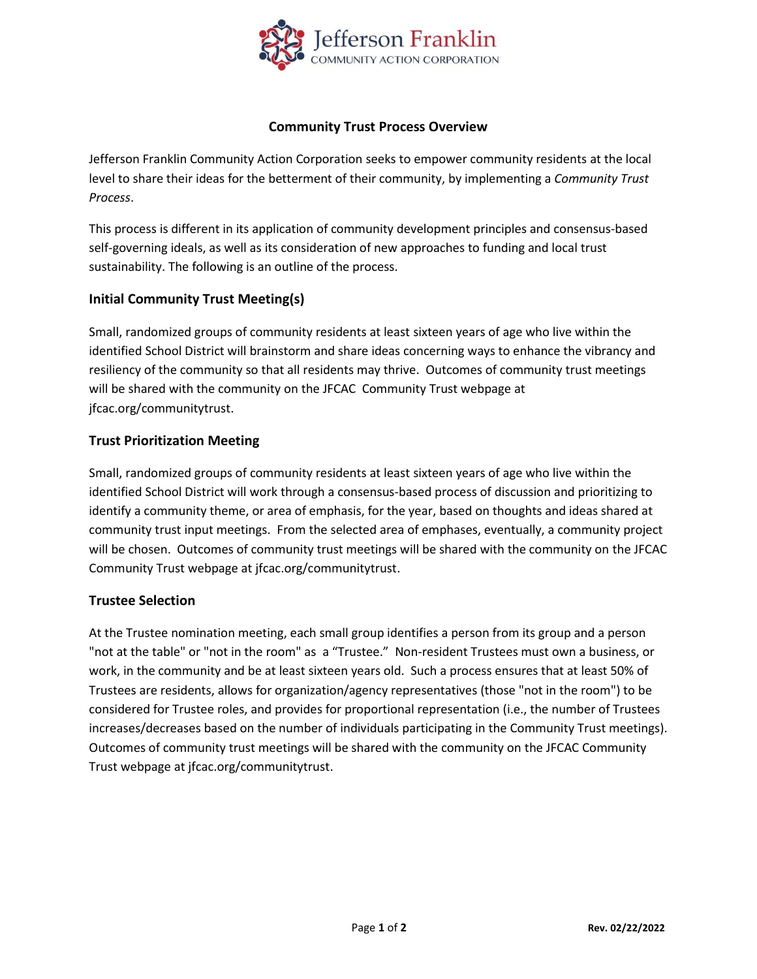

### **Community Trust Process Overview**

Jefferson Franklin Community Action Corporation seeks to empower community residents at the local level to share their ideas for the betterment of their community, by implementing a *Community Trust Process*.

This process is different in its application of community development principles and consensus-based self-governing ideals, as well as its consideration of new approaches to funding and local trust sustainability. The following is an outline of the process.

# **Initial Community Trust Meeting(s)**

Small, randomized groups of community residents at least sixteen years of age who live within the identified School District will brainstorm and share ideas concerning ways to enhance the vibrancy and resiliency of the community so that all residents may thrive. Outcomes of community trust meetings will be shared with the community on the JFCAC Community Trust webpage at jfcac.org/communitytrust.

## **Trust Prioritization Meeting**

Small, randomized groups of community residents at least sixteen years of age who live within the identified School District will work through a consensus-based process of discussion and prioritizing to identify a community theme, or area of emphasis, for the year, based on thoughts and ideas shared at community trust input meetings. From the selected area of emphases, eventually, a community project will be chosen. Outcomes of community trust meetings will be shared with the community on the JFCAC Community Trust webpage at jfcac.org/communitytrust.

# **Trustee Selection**

At the Trustee nomination meeting, each small group identifies a person from its group and a person "not at the table" or "not in the room" as a "Trustee." Non-resident Trustees must own a business, or work, in the community and be at least sixteen years old. Such a process ensures that at least 50% of Trustees are residents, allows for organization/agency representatives (those "not in the room") to be considered for Trustee roles, and provides for proportional representation (i.e., the number of Trustees increases/decreases based on the number of individuals participating in the Community Trust meetings). Outcomes of community trust meetings will be shared with the community on the JFCAC Community Trust webpage at jfcac.org/communitytrust.